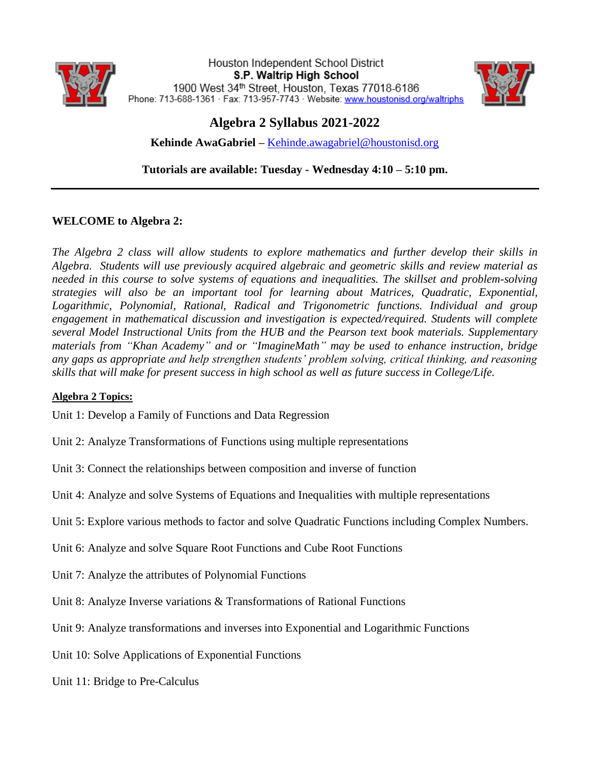

Houston Independent School District S.P. Waltrip High School 1900 West 34th Street, Houston, Texas 77018-6186 Phone: 713-688-1361 · Fax: 713-957-7743 · Website: www.houstonisd.org/waltriphs



# **Algebra 2 Syllabus 2021-2022**

**Kehinde AwaGabriel –** [Kehinde.awagabriel@houstonisd.org](mailto:Kehinde.awagabriel@houstonisd.org)

**Tutorials are available: Tuesday - Wednesday 4:10 – 5:10 pm.** 

# **WELCOME to Algebra 2:**

*The Algebra 2 class will allow students to explore mathematics and further develop their skills in Algebra. Students will use previously acquired algebraic and geometric skills and review material as needed in this course to solve systems of equations and inequalities. The skillset and problem-solving strategies will also be an important tool for learning about Matrices, Quadratic, Exponential, Logarithmic, Polynomial, Rational, Radical and Trigonometric functions. Individual and group engagement in mathematical discussion and investigation is expected/required. Students will complete several Model Instructional Units from the HUB and the Pearson text book materials. Supplementary materials from "Khan Academy" and or "ImagineMath" may be used to enhance instruction, bridge any gaps as appropriate and help strengthen students' problem solving, critical thinking, and reasoning skills that will make for present success in high school as well as future success in College/Life.*

#### **Algebra 2 Topics:**

Unit 1: Develop a Family of Functions and Data Regression

- Unit 2: Analyze Transformations of Functions using multiple representations
- Unit 3: Connect the relationships between composition and inverse of function
- Unit 4: Analyze and solve Systems of Equations and Inequalities with multiple representations
- Unit 5: Explore various methods to factor and solve Quadratic Functions including Complex Numbers.
- Unit 6: Analyze and solve Square Root Functions and Cube Root Functions
- Unit 7: Analyze the attributes of Polynomial Functions
- Unit 8: Analyze Inverse variations & Transformations of Rational Functions
- Unit 9: Analyze transformations and inverses into Exponential and Logarithmic Functions
- Unit 10: Solve Applications of Exponential Functions
- Unit 11: Bridge to Pre-Calculus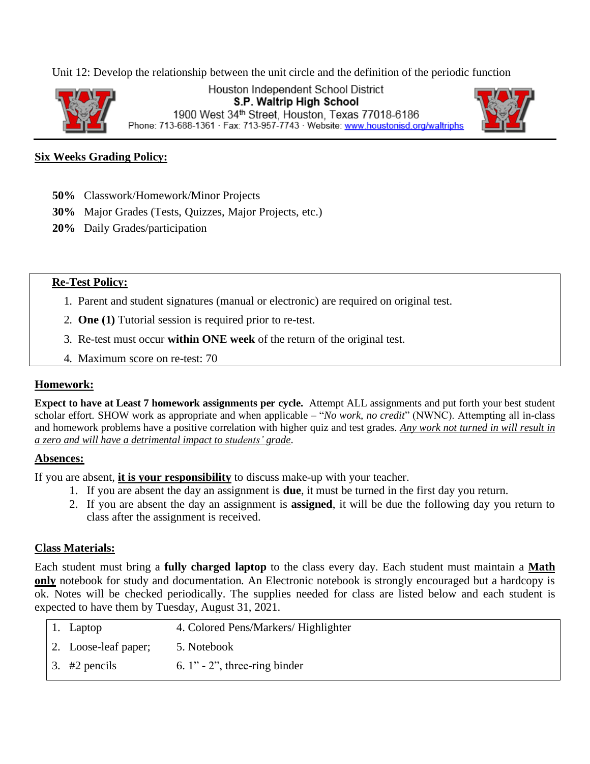Unit 12: Develop the relationship between the unit circle and the definition of the periodic function



Houston Independent School District S.P. Waltrip High School 1900 West 34th Street, Houston, Texas 77018-6186 Phone: 713-688-1361 · Fax: 713-957-7743 · Website: www.houstonisd.org/waltriphs



#### **Six Weeks Grading Policy:**

- **50%** Classwork/Homework/Minor Projects
- **30%** Major Grades (Tests, Quizzes, Major Projects, etc.)
- **20%** Daily Grades/participation

#### **Re-Test Policy:**

- 1. Parent and student signatures (manual or electronic) are required on original test.
- 2. **One (1)** Tutorial session is required prior to re-test.
- 3. Re-test must occur **within ONE week** of the return of the original test.
- 4. Maximum score on re-test: 70

#### **Homework:**

**Expect to have at Least 7 homework assignments per cycle.** Attempt ALL assignments and put forth your best student scholar effort. SHOW work as appropriate and when applicable – "*No work, no credit*" (NWNC). Attempting all in-class and homework problems have a positive correlation with higher quiz and test grades. *Any work not turned in will result in a zero and will have a detrimental impact to students' grade*.

#### **Absences:**

If you are absent, **it is your responsibility** to discuss make-up with your teacher.

- 1. If you are absent the day an assignment is **due**, it must be turned in the first day you return.
- 2. If you are absent the day an assignment is **assigned**, it will be due the following day you return to class after the assignment is received.

#### **Class Materials:**

Each student must bring a **fully charged laptop** to the class every day. Each student must maintain a **Math only** notebook for study and documentation. An Electronic notebook is strongly encouraged but a hardcopy is ok. Notes will be checked periodically. The supplies needed for class are listed below and each student is expected to have them by Tuesday, August 31, 2021.

| 1. Laptop                   | 4. Colored Pens/Markers/ Highlighter |
|-----------------------------|--------------------------------------|
| 2. Loose-leaf paper;        | 5. Notebook                          |
| $\vert 3. \Vert 42$ pencils | 6. $1" - 2"$ , three-ring binder     |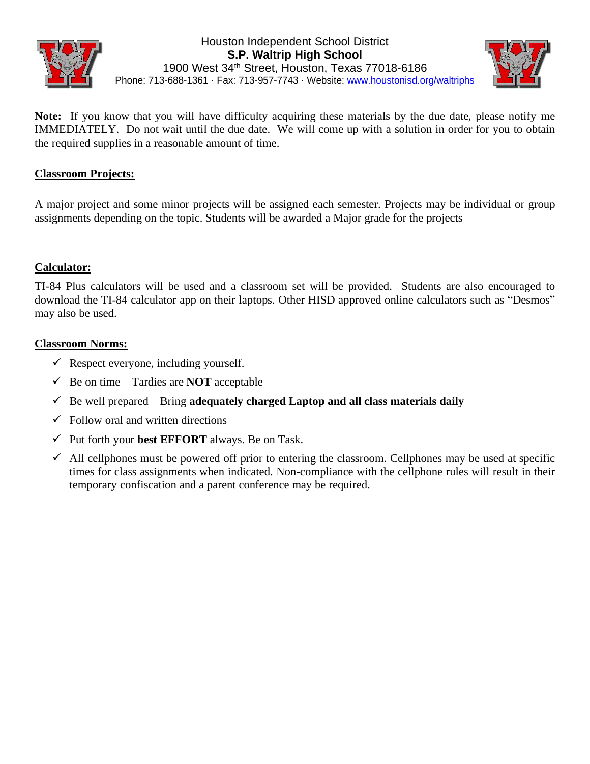



**Note:** If you know that you will have difficulty acquiring these materials by the due date, please notify me IMMEDIATELY. Do not wait until the due date. We will come up with a solution in order for you to obtain the required supplies in a reasonable amount of time.

## **Classroom Projects:**

A major project and some minor projects will be assigned each semester. Projects may be individual or group assignments depending on the topic. Students will be awarded a Major grade for the projects

## **Calculator:**

TI-84 Plus calculators will be used and a classroom set will be provided. Students are also encouraged to download the TI-84 calculator app on their laptops. Other HISD approved online calculators such as "Desmos" may also be used.

#### **Classroom Norms:**

- $\checkmark$  Respect everyone, including yourself.
- $\checkmark$  Be on time Tardies are **NOT** acceptable
- $\checkmark$  Be well prepared Bring **adequately charged Laptop and all class materials daily**
- $\checkmark$  Follow oral and written directions
- ✓ Put forth your **best EFFORT** always. Be on Task.
- $\checkmark$  All cellphones must be powered off prior to entering the classroom. Cellphones may be used at specific times for class assignments when indicated. Non-compliance with the cellphone rules will result in their temporary confiscation and a parent conference may be required.